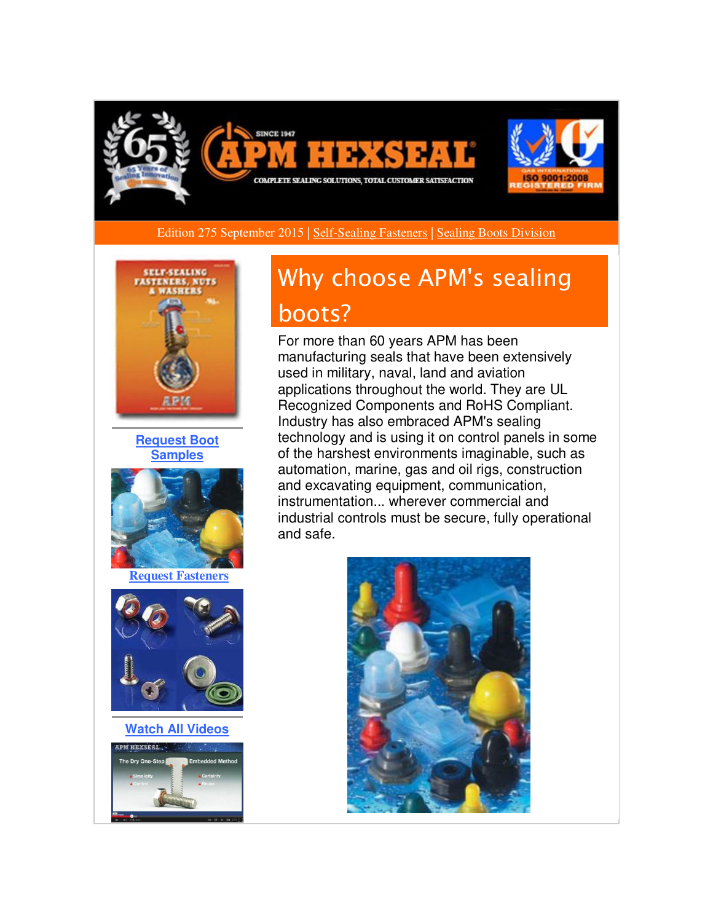

Edition 275 September 2015 [| Self-Sealing Fasteners](http://r20.rs6.net/tn.jsp?f=001M4OQXkQGMl21ZwgwjB_8o-j1oE7J-aqJ2MtT3UFcfSWK7Xsy2_-0bl-EE_m0SyBGL1gREW3Q62w2_UT8eXNnyrf-1uqkM0_ZYxSpQknowrJlCoWLkZn7zABzwQ2YvgbHIC1hCjACoJtigd8exJ2o689P3CmRacmINK7MHw2S2UzRhPQaT_nJQm4JMgA-luLHIm2PRo4sG6ULdj29PuuO-wNnFjpG83w20zfH3m7Md8XKELaIwegwYbZEvcqv_Ci6GT0ieCJAy2kjV_g8koLcP73eb49RJbxJdcqNiVV1iQTCGfPxai5qBiZHq_VgtmuUg_u1HtZLZ820lSG67zfB5_pdTh10_-_Vv2hAjpjuiJP8c6ADqJLWwg==&c=rnxUNEM9l4aU4CsqKbML2iwqXd6QlMdj6XVLLg01kIbBj0MkOgNpqA==&ch=3YtUgKZiJ8UBbgZb09JRray12J3jp0F35ykNocPUAwULkyU5TPdUXQ==) | [Sealing Boots Division](http://r20.rs6.net/tn.jsp?f=001M4OQXkQGMl21ZwgwjB_8o-j1oE7J-aqJ2MtT3UFcfSWK7Xsy2_-0boaZBm2znQYS-fvHQiQUOCX027MfUySkIlyjzMMU30i4wkYl1w6Mm_R6EPpBPmWgFrKUXAJqIYZs9ozzc6gjENM2-AFYgConcMHYOdrHL4OipDUR478ufQJaPDkQDKUX-aDhxpr7k6X20O301nXwFSOsKwa8UZZLmfcskRWinfbbAEhmGynw24AUThsWu_lpqGpNV9BZHUNonnP0TiIGv72gnoU8NASM_JENDbc_VZAL2QNDEhwKG5MSWMHHi6bVgeHYdS5z_Joo20yJmcVJgC-vBrt1dnCZ210vX858cl1FRKxsg7GA0P1Ouj39ph2L5Q==&c=rnxUNEM9l4aU4CsqKbML2iwqXd6QlMdj6XVLLg01kIbBj0MkOgNpqA==&ch=3YtUgKZiJ8UBbgZb09JRray12J3jp0F35ykNocPUAwULkyU5TPdUXQ==) 



**[Request Boot](http://r20.rs6.net/tn.jsp?f=001M4OQXkQGMl21ZwgwjB_8o-j1oE7J-aqJ2MtT3UFcfSWK7Xsy2_-0bl-EE_m0SyBGT4xEe79fdnNwSoZVQJ7xrjurmSdB5CNbziis8u7GhzUpJM2MljtCM260TqEhHXwMHeiecsMGAMqMxXagMosM--2T1uftWFJG9GH8n1qgHF8Gyn63LawsUvrpcD1w2VkoIaBTkmZNfj8ek6Ha8OgXljvWIU_PnRFucirMBbOfxCd3FDiGv8Sd-lTrlGGMr7etI_HQuytU2dF-f9Ws9b2QcyMOwH2kwDt0LsGskTk_PrbgwfXsJXV4RGKJqcbMOJ0aps70C_yKL_Lz2YoXY79IVQ==&c=rnxUNEM9l4aU4CsqKbML2iwqXd6QlMdj6XVLLg01kIbBj0MkOgNpqA==&ch=3YtUgKZiJ8UBbgZb09JRray12J3jp0F35ykNocPUAwULkyU5TPdUXQ==)  [Samples](http://r20.rs6.net/tn.jsp?f=001M4OQXkQGMl21ZwgwjB_8o-j1oE7J-aqJ2MtT3UFcfSWK7Xsy2_-0bl-EE_m0SyBGT4xEe79fdnNwSoZVQJ7xrjurmSdB5CNbziis8u7GhzUpJM2MljtCM260TqEhHXwMHeiecsMGAMqMxXagMosM--2T1uftWFJG9GH8n1qgHF8Gyn63LawsUvrpcD1w2VkoIaBTkmZNfj8ek6Ha8OgXljvWIU_PnRFucirMBbOfxCd3FDiGv8Sd-lTrlGGMr7etI_HQuytU2dF-f9Ws9b2QcyMOwH2kwDt0LsGskTk_PrbgwfXsJXV4RGKJqcbMOJ0aps70C_yKL_Lz2YoXY79IVQ==&c=rnxUNEM9l4aU4CsqKbML2iwqXd6QlMdj6XVLLg01kIbBj0MkOgNpqA==&ch=3YtUgKZiJ8UBbgZb09JRray12J3jp0F35ykNocPUAwULkyU5TPdUXQ==)**



**[Request Fasteners](http://r20.rs6.net/tn.jsp?f=001M4OQXkQGMl21ZwgwjB_8o-j1oE7J-aqJ2MtT3UFcfSWK7Xsy2_-0bo14J5HZh82pZPkekcvdiKGBSMY4BEJoRtIZfbvILpDBfOaQfVlxyqpgSz8h6g2CdGmGUguCdb5llJUhA7FpEUGZCYGSuB_IpNeu1jzoMbeAh_0NoPx_3exBaCfBRwIyiERtJNmeStmL0d-mxa7oe5Y2ZwV5b0_OHbUyem0yZ5VZtp8LAQgYlOU9dE_b9YvDyZ5fFGHQdQdBu0ALmBZaTSixjffoRzLooQbDCqzCLp6iBvrEhKyC-H0vlvSSC8l-4fjHkBVo2NlJJHLJrfMeTIg=&c=rnxUNEM9l4aU4CsqKbML2iwqXd6QlMdj6XVLLg01kIbBj0MkOgNpqA==&ch=3YtUgKZiJ8UBbgZb09JRray12J3jp0F35ykNocPUAwULkyU5TPdUXQ==)**



**[Watch All Videos](http://r20.rs6.net/tn.jsp?f=001M4OQXkQGMl21ZwgwjB_8o-j1oE7J-aqJ2MtT3UFcfSWK7Xsy2_-0bo14J5HZh82pLtwlCXctOL-MNwwIbYzQe4DLG8CoL2fFxOYq5UPngQ9Em6VJIftbfo0wVrP0JCjRyf2whq1nds-19hQrk7-w7bfaVM1mrghCtfJMcQ1--62-1O1VvQmxDZk1U3Oj7PZkYQJaKHwpx9XjW4Z4vOEoBTk8veGrLvqBjEm0PQuAJacQXFZebPTu4cgmgmEMkCrhJDp2rI3QUvbXn-JDf5TZ5ftViIG9nqYIoG3-alInmdM6Qqzh0uKFzQ==&c=rnxUNEM9l4aU4CsqKbML2iwqXd6QlMdj6XVLLg01kIbBj0MkOgNpqA==&ch=3YtUgKZiJ8UBbgZb09JRray12J3jp0F35ykNocPUAwULkyU5TPdUXQ==)**



# Why choose APM's sealing boots?

For more than 60 years APM has been manufacturing seals that have been extensively used in military, naval, land and aviation applications throughout the world. They are UL Recognized Components and RoHS Compliant. Industry has also embraced APM's sealing technology and is using it on control panels in some of the harshest environments imaginable, such as automation, marine, gas and oil rigs, construction and excavating equipment, communication, instrumentation... wherever commercial and industrial controls must be secure, fully operational and safe.

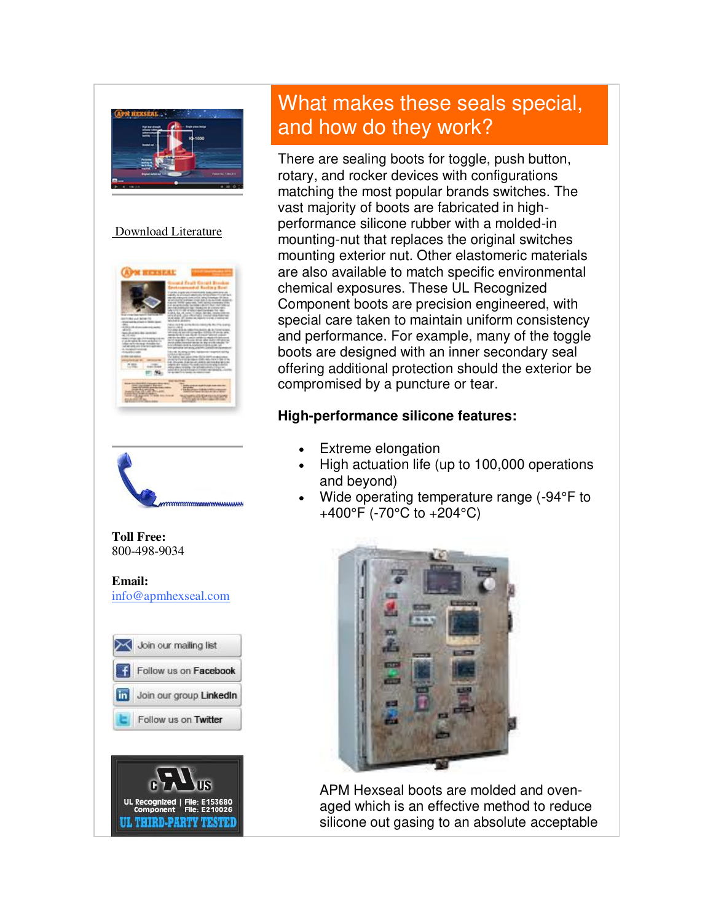

#### [Download Literature](http://r20.rs6.net/tn.jsp?f=001M4OQXkQGMl21ZwgwjB_8o-j1oE7J-aqJ2MtT3UFcfSWK7Xsy2_-0bl-EE_m0SyBG0Vrrj_Siv_bCpYAvpmTzBUs1TMsVcOJNHOHhtqCcHwmv7G0Le2D2exMmScnq8TSh0x4PqaG6_kDCEFonEaNOmqwloxVcoD26nm0LXvtygVWykAsuXVxW5SzaxX5QBetBs0kmSyqK6TUq9JnXctrtDEwjkZOy-Ad9bxyFcWeJ6k55Y8WH4UgMOqwYn-KIaCoGU7abBqY2j6zMzybiicOG0N8g-nU_Fu_-LcRgN6blHJvw-HWdxdh9NAnCpmpQ9TFIUlvESXijhckkDd8aKhlDakA0mlYHz3P-&c=rnxUNEM9l4aU4CsqKbML2iwqXd6QlMdj6XVLLg01kIbBj0MkOgNpqA==&ch=3YtUgKZiJ8UBbgZb09JRray12J3jp0F35ykNocPUAwULkyU5TPdUXQ==)





#### **Toll Free:**  800-498-9034

**Email:** [info@apmhexseal.com](mailto:info@apmhexseal.com)

| Join our mailing list   |
|-------------------------|
| Follow us on Facebook   |
| Join our group Linkedin |
| Follow us on Twitter    |



## What makes these seals special, and how do they work?

There are sealing boots for toggle, push button, rotary, and rocker devices with configurations matching the most popular brands switches. The vast majority of boots are fabricated in highperformance silicone rubber with a molded-in mounting-nut that replaces the original switches mounting exterior nut. Other elastomeric materials are also available to match specific environmental chemical exposures. These UL Recognized Component boots are precision engineered, with special care taken to maintain uniform consistency and performance. For example, many of the toggle boots are designed with an inner secondary seal offering additional protection should the exterior be compromised by a puncture or tear.

### **High-performance silicone features:**

- Extreme elongation
- High actuation life (up to 100,000 operations and beyond)
- Wide operating temperature range (-94°F to +400°F (-70°C to +204°C)



APM Hexseal boots are molded and ovenaged which is an effective method to reduce silicone out gasing to an absolute acceptable